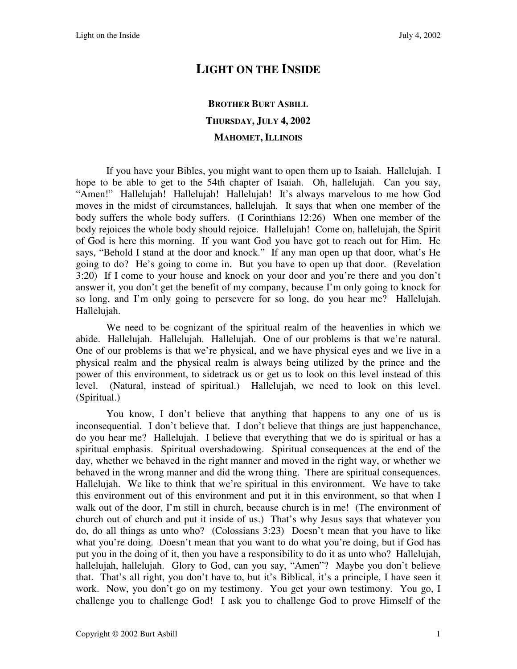## **LIGHT ON THE INSIDE**

## **BROTHER BURT ASBILL THURSDAY, JULY 4, 2002 MAHOMET, ILLINOIS**

If you have your Bibles, you might want to open them up to Isaiah. Hallelujah. I hope to be able to get to the 54th chapter of Isaiah. Oh, hallelujah. Can you say, "Amen!" Hallelujah! Hallelujah! Hallelujah! It's always marvelous to me how God moves in the midst of circumstances, hallelujah. It says that when one member of the body suffers the whole body suffers. (I Corinthians 12:26) When one member of the body rejoices the whole body should rejoice. Hallelujah! Come on, hallelujah, the Spirit of God is here this morning. If you want God you have got to reach out for Him. He says, "Behold I stand at the door and knock." If any man open up that door, what's He going to do? He's going to come in. But you have to open up that door. (Revelation 3:20) If I come to your house and knock on your door and you're there and you don't answer it, you don't get the benefit of my company, because I'm only going to knock for so long, and I'm only going to persevere for so long, do you hear me? Hallelujah. Hallelujah.

We need to be cognizant of the spiritual realm of the heavenlies in which we abide. Hallelujah. Hallelujah. Hallelujah. One of our problems is that we're natural. One of our problems is that we're physical, and we have physical eyes and we live in a physical realm and the physical realm is always being utilized by the prince and the power of this environment, to sidetrack us or get us to look on this level instead of this level. (Natural, instead of spiritual.) Hallelujah, we need to look on this level. (Spiritual.)

You know, I don't believe that anything that happens to any one of us is inconsequential. I don't believe that. I don't believe that things are just happenchance, do you hear me? Hallelujah. I believe that everything that we do is spiritual or has a spiritual emphasis. Spiritual overshadowing. Spiritual consequences at the end of the day, whether we behaved in the right manner and moved in the right way, or whether we behaved in the wrong manner and did the wrong thing. There are spiritual consequences. Hallelujah. We like to think that we're spiritual in this environment. We have to take this environment out of this environment and put it in this environment, so that when I walk out of the door, I'm still in church, because church is in me! (The environment of church out of church and put it inside of us.) That's why Jesus says that whatever you do, do all things as unto who? (Colossians 3:23) Doesn't mean that you have to like what you're doing. Doesn't mean that you want to do what you're doing, but if God has put you in the doing of it, then you have a responsibility to do it as unto who? Hallelujah, hallelujah, hallelujah. Glory to God, can you say, "Amen"? Maybe you don't believe that. That's all right, you don't have to, but it's Biblical, it's a principle, I have seen it work. Now, you don't go on my testimony. You get your own testimony. You go, I challenge you to challenge God! I ask you to challenge God to prove Himself of the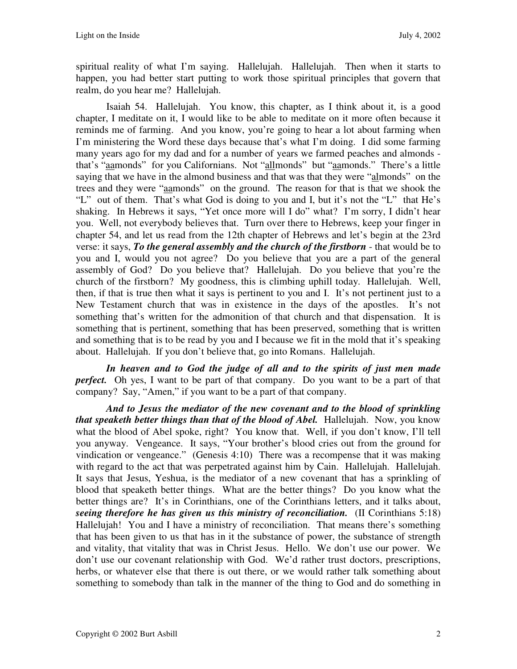spiritual reality of what I'm saying. Hallelujah. Hallelujah. Then when it starts to happen, you had better start putting to work those spiritual principles that govern that realm, do you hear me? Hallelujah.

Isaiah 54. Hallelujah. You know, this chapter, as I think about it, is a good chapter, I meditate on it, I would like to be able to meditate on it more often because it reminds me of farming. And you know, you're going to hear a lot about farming when I'm ministering the Word these days because that's what I'm doing. I did some farming many years ago for my dad and for a number of years we farmed peaches and almonds that's "aamonds" for you Californians. Not "allmonds" but "aamonds." There's a little saying that we have in the almond business and that was that they were "almonds" on the trees and they were "aamonds" on the ground. The reason for that is that we shook the "L" out of them. That's what God is doing to you and I, but it's not the "L" that He's shaking. In Hebrews it says, "Yet once more will I do" what? I'm sorry, I didn't hear you. Well, not everybody believes that. Turn over there to Hebrews, keep your finger in chapter 54, and let us read from the 12th chapter of Hebrews and let's begin at the 23rd verse: it says, *To the general assembly and the church of the firstborn* - that would be to you and I, would you not agree? Do you believe that you are a part of the general assembly of God? Do you believe that? Hallelujah. Do you believe that you're the church of the firstborn? My goodness, this is climbing uphill today. Hallelujah. Well, then, if that is true then what it says is pertinent to you and I. It's not pertinent just to a New Testament church that was in existence in the days of the apostles. It's not something that's written for the admonition of that church and that dispensation. It is something that is pertinent, something that has been preserved, something that is written and something that is to be read by you and I because we fit in the mold that it's speaking about. Hallelujah. If you don't believe that, go into Romans. Hallelujah.

*In heaven and to God the judge of all and to the spirits of just men made perfect.* Oh yes, I want to be part of that company. Do you want to be a part of that company? Say, "Amen," if you want to be a part of that company.

*And to Jesus the mediator of the new covenant and to the blood of sprinkling that speaketh better things than that of the blood of Abel.* Hallelujah. Now, you know what the blood of Abel spoke, right? You know that. Well, if you don't know, I'll tell you anyway. Vengeance. It says, "Your brother's blood cries out from the ground for vindication or vengeance." (Genesis 4:10) There was a recompense that it was making with regard to the act that was perpetrated against him by Cain. Hallelujah. Hallelujah. It says that Jesus, Yeshua, is the mediator of a new covenant that has a sprinkling of blood that speaketh better things. What are the better things? Do you know what the better things are? It's in Corinthians, one of the Corinthians letters, and it talks about, *seeing therefore he has given us this ministry of reconciliation.* (II Corinthians 5:18) Hallelujah! You and I have a ministry of reconciliation. That means there's something that has been given to us that has in it the substance of power, the substance of strength and vitality, that vitality that was in Christ Jesus. Hello. We don't use our power. We don't use our covenant relationship with God. We'd rather trust doctors, prescriptions, herbs, or whatever else that there is out there, or we would rather talk something about something to somebody than talk in the manner of the thing to God and do something in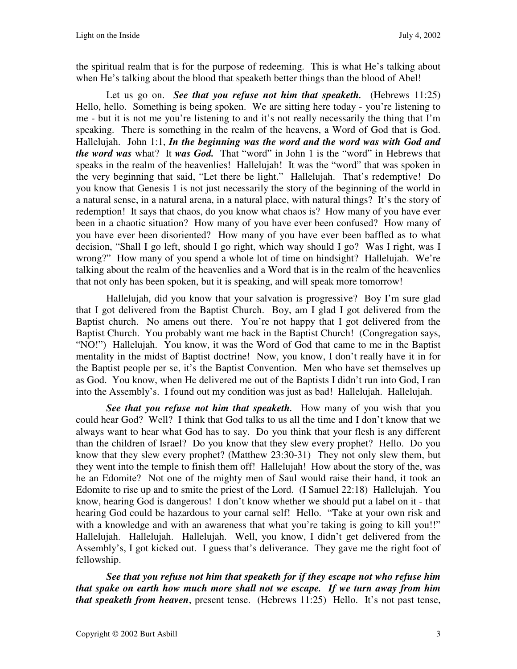the spiritual realm that is for the purpose of redeeming. This is what He's talking about when He's talking about the blood that speaketh better things than the blood of Abel!

Let us go on. *See that you refuse not him that speaketh.* (Hebrews 11:25) Hello, hello. Something is being spoken. We are sitting here today - you're listening to me - but it is not me you're listening to and it's not really necessarily the thing that I'm speaking. There is something in the realm of the heavens, a Word of God that is God. Hallelujah. John 1:1, *In the beginning was the word and the word was with God and the word was* what? It *was God.* That "word" in John 1 is the "word" in Hebrews that speaks in the realm of the heavenlies! Hallelujah! It was the "word" that was spoken in the very beginning that said, "Let there be light." Hallelujah. That's redemptive! Do you know that Genesis 1 is not just necessarily the story of the beginning of the world in a natural sense, in a natural arena, in a natural place, with natural things? It's the story of redemption! It says that chaos, do you know what chaos is? How many of you have ever been in a chaotic situation? How many of you have ever been confused? How many of you have ever been disoriented? How many of you have ever been baffled as to what decision, "Shall I go left, should I go right, which way should I go? Was I right, was I wrong?" How many of you spend a whole lot of time on hindsight? Hallelujah. We're talking about the realm of the heavenlies and a Word that is in the realm of the heavenlies that not only has been spoken, but it is speaking, and will speak more tomorrow!

Hallelujah, did you know that your salvation is progressive? Boy I'm sure glad that I got delivered from the Baptist Church. Boy, am I glad I got delivered from the Baptist church. No amens out there. You're not happy that I got delivered from the Baptist Church. You probably want me back in the Baptist Church! (Congregation says, "NO!") Hallelujah. You know, it was the Word of God that came to me in the Baptist mentality in the midst of Baptist doctrine! Now, you know, I don't really have it in for the Baptist people per se, it's the Baptist Convention. Men who have set themselves up as God. You know, when He delivered me out of the Baptists I didn't run into God, I ran into the Assembly's. I found out my condition was just as bad! Hallelujah. Hallelujah.

See that you refuse not him that speaketh. How many of you wish that you could hear God? Well? I think that God talks to us all the time and I don't know that we always want to hear what God has to say. Do you think that your flesh is any different than the children of Israel? Do you know that they slew every prophet? Hello. Do you know that they slew every prophet? (Matthew 23:30-31) They not only slew them, but they went into the temple to finish them off! Hallelujah! How about the story of the, was he an Edomite? Not one of the mighty men of Saul would raise their hand, it took an Edomite to rise up and to smite the priest of the Lord. (I Samuel 22:18) Hallelujah. You know, hearing God is dangerous! I don't know whether we should put a label on it - that hearing God could be hazardous to your carnal self! Hello. "Take at your own risk and with a knowledge and with an awareness that what you're taking is going to kill you!!" Hallelujah. Hallelujah. Hallelujah. Well, you know, I didn't get delivered from the Assembly's, I got kicked out. I guess that's deliverance. They gave me the right foot of fellowship.

*See that you refuse not him that speaketh for if they escape not who refuse him that spake on earth how much more shall not we escape. If we turn away from him that speaketh from heaven*, present tense. (Hebrews 11:25) Hello. It's not past tense,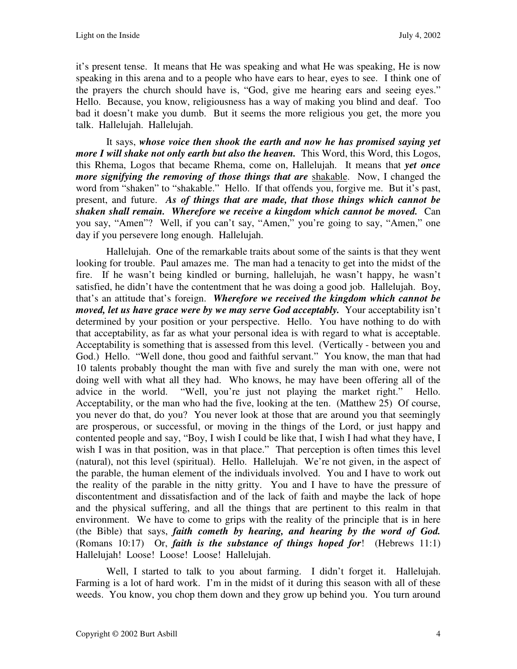it's present tense. It means that He was speaking and what He was speaking, He is now speaking in this arena and to a people who have ears to hear, eyes to see. I think one of the prayers the church should have is, "God, give me hearing ears and seeing eyes." Hello. Because, you know, religiousness has a way of making you blind and deaf. Too bad it doesn't make you dumb. But it seems the more religious you get, the more you talk. Hallelujah. Hallelujah.

It says, *whose voice then shook the earth and now he has promised saying yet more I will shake not only earth but also the heaven.* This Word, this Word, this Logos, this Rhema, Logos that became Rhema, come on, Hallelujah. It means that *yet once more signifying the removing of those things that are shakable.* Now, I changed the word from "shaken" to "shakable." Hello. If that offends you, forgive me. But it's past, present, and future. *As of things that are made, that those things which cannot be shaken shall remain. Wherefore we receive a kingdom which cannot be moved.* Can you say, "Amen"? Well, if you can't say, "Amen," you're going to say, "Amen," one day if you persevere long enough. Hallelujah.

Hallelujah. One of the remarkable traits about some of the saints is that they went looking for trouble. Paul amazes me. The man had a tenacity to get into the midst of the fire. If he wasn't being kindled or burning, hallelujah, he wasn't happy, he wasn't satisfied, he didn't have the contentment that he was doing a good job. Hallelujah. Boy, that's an attitude that's foreign. *Wherefore we received the kingdom which cannot be moved, let us have grace were by we may serve God acceptably.* Your acceptability isn't determined by your position or your perspective. Hello. You have nothing to do with that acceptability, as far as what your personal idea is with regard to what is acceptable. Acceptability is something that is assessed from this level. (Vertically - between you and God.) Hello. "Well done, thou good and faithful servant." You know, the man that had 10 talents probably thought the man with five and surely the man with one, were not doing well with what all they had. Who knows, he may have been offering all of the advice in the world. "Well, you're just not playing the market right." Hello. Acceptability, or the man who had the five, looking at the ten. (Matthew 25) Of course, you never do that, do you? You never look at those that are around you that seemingly are prosperous, or successful, or moving in the things of the Lord, or just happy and contented people and say, "Boy, I wish I could be like that, I wish I had what they have, I wish I was in that position, was in that place." That perception is often times this level (natural), not this level (spiritual). Hello. Hallelujah. We're not given, in the aspect of the parable, the human element of the individuals involved. You and I have to work out the reality of the parable in the nitty gritty. You and I have to have the pressure of discontentment and dissatisfaction and of the lack of faith and maybe the lack of hope and the physical suffering, and all the things that are pertinent to this realm in that environment. We have to come to grips with the reality of the principle that is in here (the Bible) that says, *faith cometh by hearing, and hearing by the word of God.*  (Romans 10:17) Or, *faith is the substance of things hoped for*! (Hebrews 11:1) Hallelujah! Loose! Loose! Loose! Hallelujah.

Well, I started to talk to you about farming. I didn't forget it. Hallelujah. Farming is a lot of hard work. I'm in the midst of it during this season with all of these weeds. You know, you chop them down and they grow up behind you. You turn around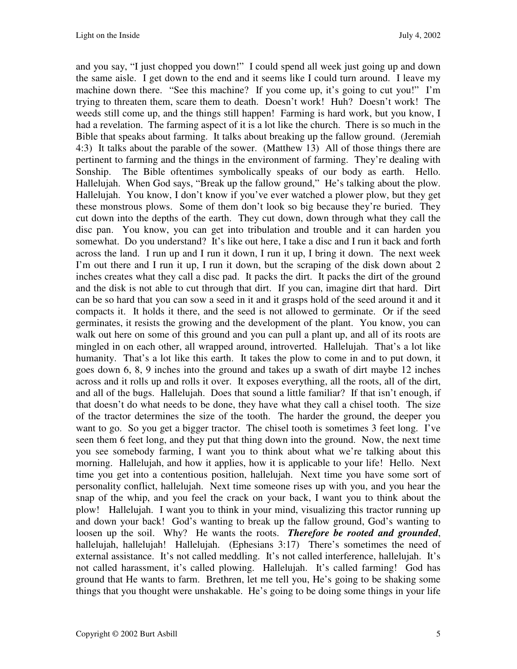and you say, "I just chopped you down!" I could spend all week just going up and down the same aisle. I get down to the end and it seems like I could turn around. I leave my machine down there. "See this machine? If you come up, it's going to cut you!" I'm trying to threaten them, scare them to death. Doesn't work! Huh? Doesn't work! The weeds still come up, and the things still happen! Farming is hard work, but you know, I had a revelation. The farming aspect of it is a lot like the church. There is so much in the Bible that speaks about farming. It talks about breaking up the fallow ground. (Jeremiah 4:3) It talks about the parable of the sower. (Matthew 13) All of those things there are pertinent to farming and the things in the environment of farming. They're dealing with Sonship. The Bible oftentimes symbolically speaks of our body as earth. Hello. Hallelujah. When God says, "Break up the fallow ground," He's talking about the plow. Hallelujah. You know, I don't know if you've ever watched a plower plow, but they get these monstrous plows. Some of them don't look so big because they're buried. They cut down into the depths of the earth. They cut down, down through what they call the disc pan. You know, you can get into tribulation and trouble and it can harden you somewhat. Do you understand? It's like out here, I take a disc and I run it back and forth across the land. I run up and I run it down, I run it up, I bring it down. The next week I'm out there and I run it up, I run it down, but the scraping of the disk down about 2 inches creates what they call a disc pad. It packs the dirt. It packs the dirt of the ground and the disk is not able to cut through that dirt. If you can, imagine dirt that hard. Dirt can be so hard that you can sow a seed in it and it grasps hold of the seed around it and it compacts it. It holds it there, and the seed is not allowed to germinate. Or if the seed germinates, it resists the growing and the development of the plant. You know, you can walk out here on some of this ground and you can pull a plant up, and all of its roots are mingled in on each other, all wrapped around, introverted. Hallelujah. That's a lot like humanity. That's a lot like this earth. It takes the plow to come in and to put down, it goes down 6, 8, 9 inches into the ground and takes up a swath of dirt maybe 12 inches across and it rolls up and rolls it over. It exposes everything, all the roots, all of the dirt, and all of the bugs. Hallelujah. Does that sound a little familiar? If that isn't enough, if that doesn't do what needs to be done, they have what they call a chisel tooth. The size of the tractor determines the size of the tooth. The harder the ground, the deeper you want to go. So you get a bigger tractor. The chisel tooth is sometimes 3 feet long. I've seen them 6 feet long, and they put that thing down into the ground. Now, the next time you see somebody farming, I want you to think about what we're talking about this morning. Hallelujah, and how it applies, how it is applicable to your life! Hello. Next time you get into a contentious position, hallelujah. Next time you have some sort of personality conflict, hallelujah. Next time someone rises up with you, and you hear the snap of the whip, and you feel the crack on your back, I want you to think about the plow! Hallelujah. I want you to think in your mind, visualizing this tractor running up and down your back! God's wanting to break up the fallow ground, God's wanting to loosen up the soil. Why? He wants the roots. *Therefore be rooted and grounded*, hallelujah, hallelujah! Hallelujah. (Ephesians 3:17) There's sometimes the need of external assistance. It's not called meddling. It's not called interference, hallelujah. It's not called harassment, it's called plowing. Hallelujah. It's called farming! God has ground that He wants to farm. Brethren, let me tell you, He's going to be shaking some things that you thought were unshakable. He's going to be doing some things in your life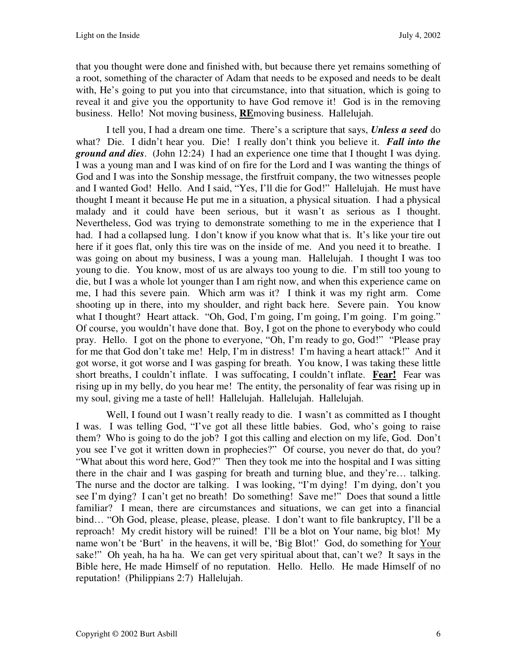that you thought were done and finished with, but because there yet remains something of a root, something of the character of Adam that needs to be exposed and needs to be dealt with, He's going to put you into that circumstance, into that situation, which is going to reveal it and give you the opportunity to have God remove it! God is in the removing business. Hello! Not moving business, **RE**moving business. Hallelujah.

I tell you, I had a dream one time. There's a scripture that says, *Unless a seed* do what? Die. I didn't hear you. Die! I really don't think you believe it. *Fall into the ground and dies*. (John 12:24) I had an experience one time that I thought I was dying. I was a young man and I was kind of on fire for the Lord and I was wanting the things of God and I was into the Sonship message, the firstfruit company, the two witnesses people and I wanted God! Hello. And I said, "Yes, I'll die for God!" Hallelujah. He must have thought I meant it because He put me in a situation, a physical situation. I had a physical malady and it could have been serious, but it wasn't as serious as I thought. Nevertheless, God was trying to demonstrate something to me in the experience that I had. I had a collapsed lung. I don't know if you know what that is. It's like your tire out here if it goes flat, only this tire was on the inside of me. And you need it to breathe. I was going on about my business, I was a young man. Hallelujah. I thought I was too young to die. You know, most of us are always too young to die. I'm still too young to die, but I was a whole lot younger than I am right now, and when this experience came on me, I had this severe pain. Which arm was it? I think it was my right arm. Come shooting up in there, into my shoulder, and right back here. Severe pain. You know what I thought? Heart attack. "Oh, God, I'm going, I'm going, I'm going. I'm going." Of course, you wouldn't have done that. Boy, I got on the phone to everybody who could pray. Hello. I got on the phone to everyone, "Oh, I'm ready to go, God!" "Please pray for me that God don't take me! Help, I'm in distress! I'm having a heart attack!" And it got worse, it got worse and I was gasping for breath. You know, I was taking these little short breaths, I couldn't inflate. I was suffocating, I couldn't inflate. **Fear!** Fear was rising up in my belly, do you hear me! The entity, the personality of fear was rising up in my soul, giving me a taste of hell! Hallelujah. Hallelujah. Hallelujah.

Well, I found out I wasn't really ready to die. I wasn't as committed as I thought I was. I was telling God, "I've got all these little babies. God, who's going to raise them? Who is going to do the job? I got this calling and election on my life, God. Don't you see I've got it written down in prophecies?" Of course, you never do that, do you? "What about this word here, God?" Then they took me into the hospital and I was sitting there in the chair and I was gasping for breath and turning blue, and they're… talking. The nurse and the doctor are talking. I was looking, "I'm dying! I'm dying, don't you see I'm dying? I can't get no breath! Do something! Save me!" Does that sound a little familiar? I mean, there are circumstances and situations, we can get into a financial bind… "Oh God, please, please, please, please. I don't want to file bankruptcy, I'll be a reproach! My credit history will be ruined! I'll be a blot on Your name, big blot! My name won't be 'Burt' in the heavens, it will be, 'Big Blot!' God, do something for Your sake!" Oh yeah, ha ha ha. We can get very spiritual about that, can't we? It says in the Bible here, He made Himself of no reputation. Hello. Hello. He made Himself of no reputation! (Philippians 2:7) Hallelujah.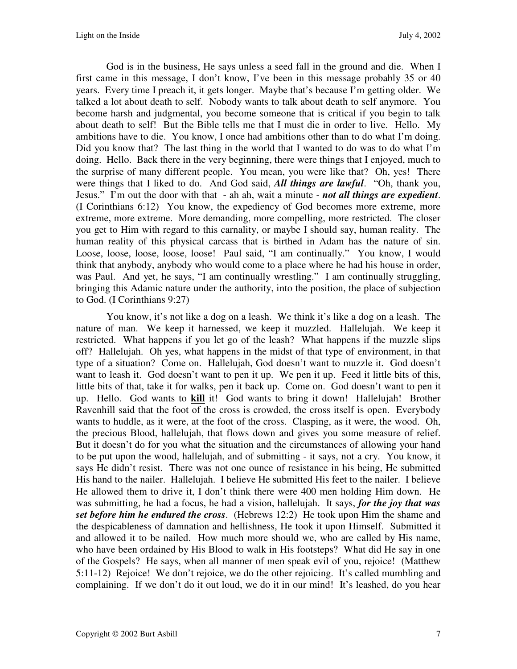God is in the business, He says unless a seed fall in the ground and die. When I first came in this message, I don't know, I've been in this message probably 35 or 40 years. Every time I preach it, it gets longer. Maybe that's because I'm getting older. We talked a lot about death to self. Nobody wants to talk about death to self anymore. You become harsh and judgmental, you become someone that is critical if you begin to talk about death to self! But the Bible tells me that I must die in order to live. Hello. My ambitions have to die. You know, I once had ambitions other than to do what I'm doing. Did you know that? The last thing in the world that I wanted to do was to do what I'm doing. Hello. Back there in the very beginning, there were things that I enjoyed, much to the surprise of many different people. You mean, you were like that? Oh, yes! There were things that I liked to do. And God said, *All things are lawful*. "Oh, thank you, Jesus." I'm out the door with that - ah ah, wait a minute - *not all things are expedient*. (I Corinthians 6:12) You know, the expediency of God becomes more extreme, more extreme, more extreme. More demanding, more compelling, more restricted. The closer you get to Him with regard to this carnality, or maybe I should say, human reality. The human reality of this physical carcass that is birthed in Adam has the nature of sin. Loose, loose, loose, loose, loose! Paul said, "I am continually." You know, I would think that anybody, anybody who would come to a place where he had his house in order, was Paul. And yet, he says, "I am continually wrestling." I am continually struggling, bringing this Adamic nature under the authority, into the position, the place of subjection to God. (I Corinthians 9:27)

You know, it's not like a dog on a leash. We think it's like a dog on a leash. The nature of man. We keep it harnessed, we keep it muzzled. Hallelujah. We keep it restricted. What happens if you let go of the leash? What happens if the muzzle slips off? Hallelujah. Oh yes, what happens in the midst of that type of environment, in that type of a situation? Come on. Hallelujah, God doesn't want to muzzle it. God doesn't want to leash it. God doesn't want to pen it up. We pen it up. Feed it little bits of this, little bits of that, take it for walks, pen it back up. Come on. God doesn't want to pen it up. Hello. God wants to **kill** it! God wants to bring it down! Hallelujah! Brother Ravenhill said that the foot of the cross is crowded, the cross itself is open. Everybody wants to huddle, as it were, at the foot of the cross. Clasping, as it were, the wood. Oh, the precious Blood, hallelujah, that flows down and gives you some measure of relief. But it doesn't do for you what the situation and the circumstances of allowing your hand to be put upon the wood, hallelujah, and of submitting - it says, not a cry. You know, it says He didn't resist. There was not one ounce of resistance in his being, He submitted His hand to the nailer. Hallelujah. I believe He submitted His feet to the nailer. I believe He allowed them to drive it, I don't think there were 400 men holding Him down. He was submitting, he had a focus, he had a vision, hallelujah. It says, *for the joy that was set before him he endured the cross*. (Hebrews 12:2) He took upon Him the shame and the despicableness of damnation and hellishness, He took it upon Himself. Submitted it and allowed it to be nailed. How much more should we, who are called by His name, who have been ordained by His Blood to walk in His footsteps? What did He say in one of the Gospels? He says, when all manner of men speak evil of you, rejoice! (Matthew 5:11-12) Rejoice! We don't rejoice, we do the other rejoicing. It's called mumbling and complaining. If we don't do it out loud, we do it in our mind! It's leashed, do you hear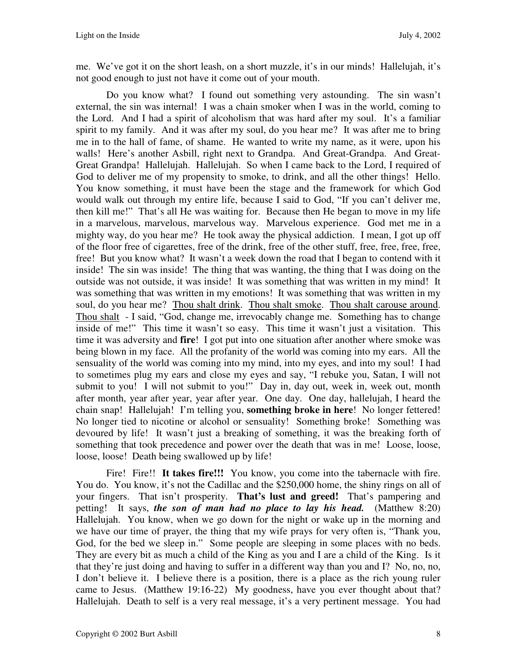me. We've got it on the short leash, on a short muzzle, it's in our minds! Hallelujah, it's not good enough to just not have it come out of your mouth.

Do you know what? I found out something very astounding. The sin wasn't external, the sin was internal! I was a chain smoker when I was in the world, coming to the Lord. And I had a spirit of alcoholism that was hard after my soul. It's a familiar spirit to my family. And it was after my soul, do you hear me? It was after me to bring me in to the hall of fame, of shame. He wanted to write my name, as it were, upon his walls! Here's another Asbill, right next to Grandpa. And Great-Grandpa. And Great-Great Grandpa! Hallelujah. Hallelujah. So when I came back to the Lord, I required of God to deliver me of my propensity to smoke, to drink, and all the other things! Hello. You know something, it must have been the stage and the framework for which God would walk out through my entire life, because I said to God, "If you can't deliver me, then kill me!" That's all He was waiting for. Because then He began to move in my life in a marvelous, marvelous, marvelous way. Marvelous experience. God met me in a mighty way, do you hear me? He took away the physical addiction. I mean, I got up off of the floor free of cigarettes, free of the drink, free of the other stuff, free, free, free, free, free! But you know what? It wasn't a week down the road that I began to contend with it inside! The sin was inside! The thing that was wanting, the thing that I was doing on the outside was not outside, it was inside! It was something that was written in my mind! It was something that was written in my emotions! It was something that was written in my soul, do you hear me? Thou shalt drink. Thou shalt smoke. Thou shalt carouse around. Thou shalt - I said, "God, change me, irrevocably change me. Something has to change inside of me!" This time it wasn't so easy. This time it wasn't just a visitation. This time it was adversity and **fire**! I got put into one situation after another where smoke was being blown in my face. All the profanity of the world was coming into my ears. All the sensuality of the world was coming into my mind, into my eyes, and into my soul! I had to sometimes plug my ears and close my eyes and say, "I rebuke you, Satan, I will not submit to you! I will not submit to you!" Day in, day out, week in, week out, month after month, year after year, year after year. One day. One day, hallelujah, I heard the chain snap! Hallelujah! I'm telling you, **something broke in here**! No longer fettered! No longer tied to nicotine or alcohol or sensuality! Something broke! Something was devoured by life! It wasn't just a breaking of something, it was the breaking forth of something that took precedence and power over the death that was in me! Loose, loose, loose, loose! Death being swallowed up by life!

Fire! Fire!! It takes fire!!! You know, you come into the tabernacle with fire. You do. You know, it's not the Cadillac and the \$250,000 home, the shiny rings on all of your fingers. That isn't prosperity. **That's lust and greed!** That's pampering and petting! It says, *the son of man had no place to lay his head.* (Matthew 8:20) Hallelujah. You know, when we go down for the night or wake up in the morning and we have our time of prayer, the thing that my wife prays for very often is, "Thank you, God, for the bed we sleep in." Some people are sleeping in some places with no beds. They are every bit as much a child of the King as you and I are a child of the King. Is it that they're just doing and having to suffer in a different way than you and I? No, no, no, I don't believe it. I believe there is a position, there is a place as the rich young ruler came to Jesus. (Matthew 19:16-22) My goodness, have you ever thought about that? Hallelujah. Death to self is a very real message, it's a very pertinent message. You had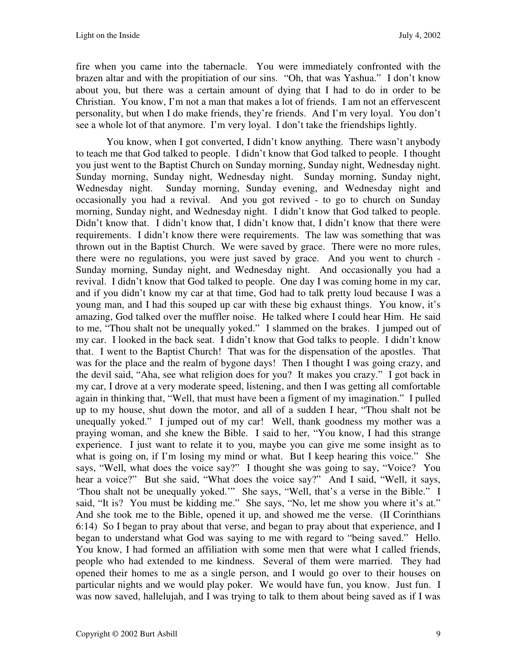fire when you came into the tabernacle. You were immediately confronted with the brazen altar and with the propitiation of our sins. "Oh, that was Yashua." I don't know about you, but there was a certain amount of dying that I had to do in order to be Christian. You know, I'm not a man that makes a lot of friends. I am not an effervescent personality, but when I do make friends, they're friends. And I'm very loyal. You don't see a whole lot of that anymore. I'm very loyal. I don't take the friendships lightly.

You know, when I got converted, I didn't know anything. There wasn't anybody to teach me that God talked to people. I didn't know that God talked to people. I thought you just went to the Baptist Church on Sunday morning, Sunday night, Wednesday night. Sunday morning, Sunday night, Wednesday night. Sunday morning, Sunday night, Wednesday night. Sunday morning, Sunday evening, and Wednesday night and occasionally you had a revival. And you got revived - to go to church on Sunday morning, Sunday night, and Wednesday night. I didn't know that God talked to people. Didn't know that. I didn't know that, I didn't know that, I didn't know that there were requirements. I didn't know there were requirements. The law was something that was thrown out in the Baptist Church. We were saved by grace. There were no more rules, there were no regulations, you were just saved by grace. And you went to church - Sunday morning, Sunday night, and Wednesday night. And occasionally you had a revival. I didn't know that God talked to people. One day I was coming home in my car, and if you didn't know my car at that time, God had to talk pretty loud because I was a young man, and I had this souped up car with these big exhaust things. You know, it's amazing, God talked over the muffler noise. He talked where I could hear Him. He said to me, "Thou shalt not be unequally yoked." I slammed on the brakes. I jumped out of my car. I looked in the back seat. I didn't know that God talks to people. I didn't know that. I went to the Baptist Church! That was for the dispensation of the apostles. That was for the place and the realm of bygone days! Then I thought I was going crazy, and the devil said, "Aha, see what religion does for you? It makes you crazy." I got back in my car, I drove at a very moderate speed, listening, and then I was getting all comfortable again in thinking that, "Well, that must have been a figment of my imagination." I pulled up to my house, shut down the motor, and all of a sudden I hear, "Thou shalt not be unequally yoked." I jumped out of my car! Well, thank goodness my mother was a praying woman, and she knew the Bible. I said to her, "You know, I had this strange experience. I just want to relate it to you, maybe you can give me some insight as to what is going on, if I'm losing my mind or what. But I keep hearing this voice." She says, "Well, what does the voice say?" I thought she was going to say, "Voice? You hear a voice?" But she said, "What does the voice say?" And I said, "Well, it says, 'Thou shalt not be unequally yoked.'" She says, "Well, that's a verse in the Bible." I said, "It is? You must be kidding me." She says, "No, let me show you where it's at." And she took me to the Bible, opened it up, and showed me the verse. (II Corinthians 6:14) So I began to pray about that verse, and began to pray about that experience, and I began to understand what God was saying to me with regard to "being saved." Hello. You know, I had formed an affiliation with some men that were what I called friends, people who had extended to me kindness. Several of them were married. They had opened their homes to me as a single person, and I would go over to their houses on particular nights and we would play poker. We would have fun, you know. Just fun. I was now saved, hallelujah, and I was trying to talk to them about being saved as if I was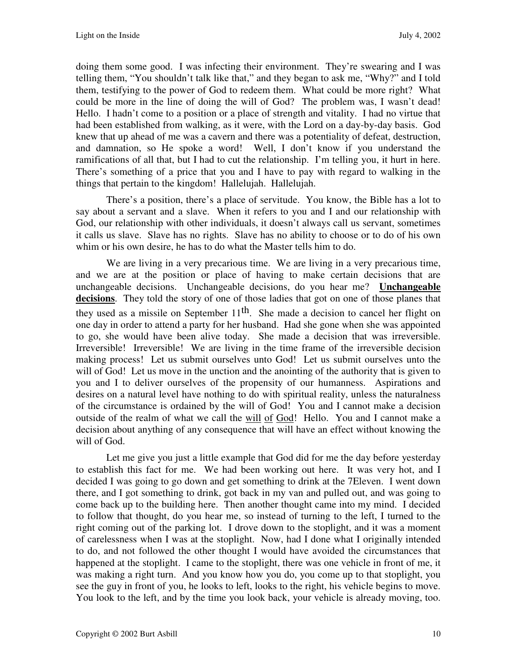doing them some good. I was infecting their environment. They're swearing and I was telling them, "You shouldn't talk like that," and they began to ask me, "Why?" and I told them, testifying to the power of God to redeem them. What could be more right? What could be more in the line of doing the will of God? The problem was, I wasn't dead! Hello. I hadn't come to a position or a place of strength and vitality. I had no virtue that had been established from walking, as it were, with the Lord on a day-by-day basis. God knew that up ahead of me was a cavern and there was a potentiality of defeat, destruction, and damnation, so He spoke a word! Well, I don't know if you understand the ramifications of all that, but I had to cut the relationship. I'm telling you, it hurt in here. There's something of a price that you and I have to pay with regard to walking in the things that pertain to the kingdom! Hallelujah. Hallelujah.

There's a position, there's a place of servitude. You know, the Bible has a lot to say about a servant and a slave. When it refers to you and I and our relationship with God, our relationship with other individuals, it doesn't always call us servant, sometimes it calls us slave. Slave has no rights. Slave has no ability to choose or to do of his own whim or his own desire, he has to do what the Master tells him to do.

We are living in a very precarious time. We are living in a very precarious time, and we are at the position or place of having to make certain decisions that are unchangeable decisions. Unchangeable decisions, do you hear me? **Unchangeable decisions**. They told the story of one of those ladies that got on one of those planes that they used as a missile on September  $11<sup>th</sup>$ . She made a decision to cancel her flight on one day in order to attend a party for her husband. Had she gone when she was appointed to go, she would have been alive today. She made a decision that was irreversible. Irreversible! Irreversible! We are living in the time frame of the irreversible decision making process! Let us submit ourselves unto God! Let us submit ourselves unto the will of God! Let us move in the unction and the anointing of the authority that is given to you and I to deliver ourselves of the propensity of our humanness. Aspirations and desires on a natural level have nothing to do with spiritual reality, unless the naturalness of the circumstance is ordained by the will of God! You and I cannot make a decision outside of the realm of what we call the will of God! Hello. You and I cannot make a decision about anything of any consequence that will have an effect without knowing the will of God.

Let me give you just a little example that God did for me the day before yesterday to establish this fact for me. We had been working out here. It was very hot, and I decided I was going to go down and get something to drink at the 7Eleven. I went down there, and I got something to drink, got back in my van and pulled out, and was going to come back up to the building here. Then another thought came into my mind. I decided to follow that thought, do you hear me, so instead of turning to the left, I turned to the right coming out of the parking lot. I drove down to the stoplight, and it was a moment of carelessness when I was at the stoplight. Now, had I done what I originally intended to do, and not followed the other thought I would have avoided the circumstances that happened at the stoplight. I came to the stoplight, there was one vehicle in front of me, it was making a right turn. And you know how you do, you come up to that stoplight, you see the guy in front of you, he looks to left, looks to the right, his vehicle begins to move. You look to the left, and by the time you look back, your vehicle is already moving, too.